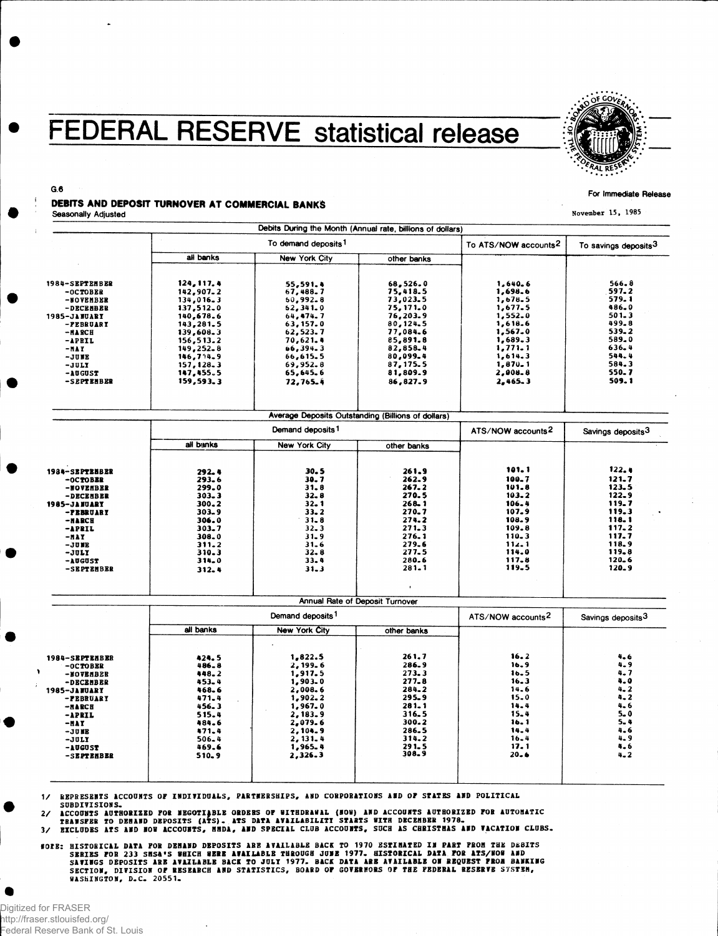## **FEDERAL RESERVE statistical release**



## G.6 For Immediate Release DEBITS AND DEPOSIT TURNOVER AT COMMERCIAL BANKS Seasonally Adjusted November 15, 1985

|                              |                                                  | Debits During the Month (Annual rate, billions of dollars) |                                                    |                               |                                  |
|------------------------------|--------------------------------------------------|------------------------------------------------------------|----------------------------------------------------|-------------------------------|----------------------------------|
|                              |                                                  | To demand deposits <sup>1</sup>                            |                                                    |                               | To savings deposits <sup>3</sup> |
|                              | all banks                                        | New York City                                              | other banks                                        |                               |                                  |
| 1984-SEPTENBER<br>$-0CTOBER$ | 124, 117, 4<br>142,907.2                         | 55,591.4<br>67,488.7                                       | 68, 526.0<br>75, 418.5                             | 1,640.6<br>1,698.6            | 566.8<br>597.2                   |
| -NOVENBER                    | 134,016.3                                        | 50,992.8                                                   | 73,023.5                                           | 1,678.5                       | 579.1                            |
| -DECEMBER                    | 137,512.0                                        | 62, 341.0                                                  | 75,171.0                                           | 1,677.5                       | 486.0                            |
| 1985-JANUARY                 | 140,678.6                                        | 64,474.7                                                   | 76,203.9                                           | 1,552.0                       | $501 - 3$                        |
| -PEBRUARY                    | 143,281.5                                        | 63, 157.0                                                  | 80,124.5                                           | 1,618.6                       | 499.8                            |
| -NARCH                       | 139,608.3                                        | 62,523.7                                                   | 77,084.6                                           | 1,567.0                       | 539.2                            |
| -APRIL                       | 156, 513.2                                       | 70,621.4                                                   | 85,891.8                                           | 1,689.3                       | 589.0                            |
| -NAY                         | 149,252.8<br>146,714.9                           | 66,394.3                                                   | 82,858.4                                           | 1,771.1                       | 636.4                            |
| $-JUBE$                      |                                                  | 66,615.5                                                   | 80,099.4                                           | 1.614.3                       | 544.4                            |
| -JULY                        | 157, 128.3                                       | 69,952.8                                                   | 87, 175.5                                          | 1,870.1                       | 584.3                            |
| $-10GUST$                    | 147,455.5                                        | 65,645.6                                                   | 81,809.9                                           | 2,008-8                       | 550.7                            |
| -SEPTEMBER                   | 159,593.3                                        | 72,765.4                                                   | 86,827.9                                           | 2,465.3                       | 509.1                            |
|                              |                                                  |                                                            |                                                    |                               |                                  |
|                              |                                                  |                                                            | Average Deposits Outstanding (Billions of dollars) |                               |                                  |
|                              | Demand deposits 1                                |                                                            |                                                    | ATS/NOW accounts <sup>2</sup> | Savings deposits <sup>3</sup>    |
|                              | all banks                                        | <b>New York City</b>                                       | other banks                                        |                               |                                  |
| 1934-SEPTEMBER               | 292.4                                            | $30 - 5$                                                   | 261.9                                              | 101.1                         | 122.4                            |
| -OCTOBER                     | $293 - 6$                                        | 30. 7                                                      | 262.9                                              | 100.7                         | 121.7                            |
| -NOVEHBER                    | 299.0                                            | 31.8                                                       | 267.2                                              | 101.8                         | 123.5                            |
| -DECEMBER                    | 303.3                                            | $32 - 8$                                                   | 270.5                                              | 103.2                         | 122.9                            |
| <b>1985-JANUARY</b>          | 300.2                                            | $32 - 1$                                                   | 268.1                                              | 106.4                         | 119.7                            |
| -PEBRUARY                    | $303 - 9$                                        | $33 - 2$                                                   | 270.7                                              | 107.9                         | 119.3                            |
| $-MARCH$                     | 306.0                                            | $31 - 8$                                                   | 274.2                                              | 108.9                         | 118.1                            |
| -APRIL                       | 303.7                                            | $32 - 3$                                                   | 271.3                                              | 109.8                         | $117 - 2$                        |
| -NAY                         | 308.0                                            | 31.9                                                       | 276.1                                              | $110 - 3$                     | 117.7                            |
| -JUNE                        | 311.2                                            | $31 - 6$                                                   | 279.6                                              | 112.1                         | 118.9                            |
| -JULY                        | $310 - 3$                                        | $32 - 8$                                                   | 277.5                                              | 114.0                         | 119.8                            |
| -AUGUST                      | 314.0                                            | $33 - 4$                                                   | 280.6                                              | 117.8                         | $120 - 6$                        |
| -SEPTEMBER                   | 312.4                                            | $31 - 3$                                                   | $281 - 1$                                          | 119.5                         | $120 - 9$                        |
|                              |                                                  |                                                            |                                                    |                               |                                  |
|                              |                                                  | Demand deposits <sup>1</sup>                               | Annual Rate of Deposit Turnover                    | ATS/NOW accounts <sup>2</sup> |                                  |
|                              | all banks<br><b>New York City</b><br>other banks |                                                            |                                                    |                               | Savings deposits <sup>3</sup>    |
|                              |                                                  |                                                            |                                                    |                               |                                  |
| 1984-SEPTEHBER               | 424.5                                            | 1,822.5                                                    | 261.7                                              | 16.2                          | 4.6                              |
| $-0CTOBER$                   | 486.8                                            | 2, 199. 6                                                  | 286.9                                              | 16.9                          | 4.9                              |
| -NOVEMBER                    | 448.2                                            | 1,917.5                                                    | 273.3                                              | 16.5                          | 4. 7                             |
| -DECEMBER                    | 453.4                                            | 1,903.0                                                    | 277.8<br>284.2                                     | 16.3<br>14.6                  | 4.0<br>$4 - 2$                   |
| <b>1985-JANUARY</b>          | 468.6<br>471.4                                   | 2,008.6<br>1,902,2                                         | 295.9                                              | $15 - 0$                      | 4.2                              |
| -PEBRUARY                    | 456.3                                            | 1,967.0                                                    | $281 - 1$                                          | 14.4                          | $4 - 6$                          |
| <b>-NARCH</b><br>-APRIL      | 515.4                                            | 2,183.9                                                    | 316.5                                              | 15.4                          | 5.0                              |
|                              | 484.6                                            | 2,079.6                                                    | 300.2                                              | 16.1                          | 5.4                              |
| -HAY                         | 471.4                                            | 2,104.9                                                    | 286.5                                              | 14.4                          | 4.6                              |
| $-JU$ KE<br>-JULY            | $506 - 4$                                        | 2, 131.4                                                   | 314.2                                              | $16 - 4$                      | 4.9                              |
| -AUGUST                      | 469.6                                            | 1,965.4                                                    | 291.5                                              | 17.1                          | 4.6                              |
| -SEPTEMBER                   | 510.9                                            | 2,326.3                                                    | 308.9                                              | 20.6                          | $4 - 2$                          |
|                              |                                                  |                                                            |                                                    |                               |                                  |
|                              |                                                  |                                                            |                                                    |                               |                                  |

1/ REPRESENTS ACCOUNTS OF INDIVIDUALS, PARTNERSHIPS, AND CORPORATIONS AND OF STATES AND POLITICAL SUBDIVISIONS.

 $\ddot{\phantom{a}}$ 

2/ ACCODNIS AUTHORIZED FOR NEGOTIABLE ORDERS OF WITHDRAWAL (NOW) AND ACCOUNTS AUTHORIZED FOR AUTOHATIC<br>- Transfer to dehand deposits (ATS). ATS data availabiliti starts with december 1978.<br>3/ Excludes ATS AND NOW ACCOUNTS,

**WORE: HISTORICAL DATA FOR DEMAND DEPOSITS ARE AVAILABLE BACK TO 1970 ESTIMATED IN PART PROM THE DEBITS<br>SERIES FOR 233 SMSA'S WHICH WERE AVAILABLE THROUGH JUNE 1977. HISTORICAL DATA FOR ATS/NOW AND<br>SAVINGS DEPOSITS ARE AVA**